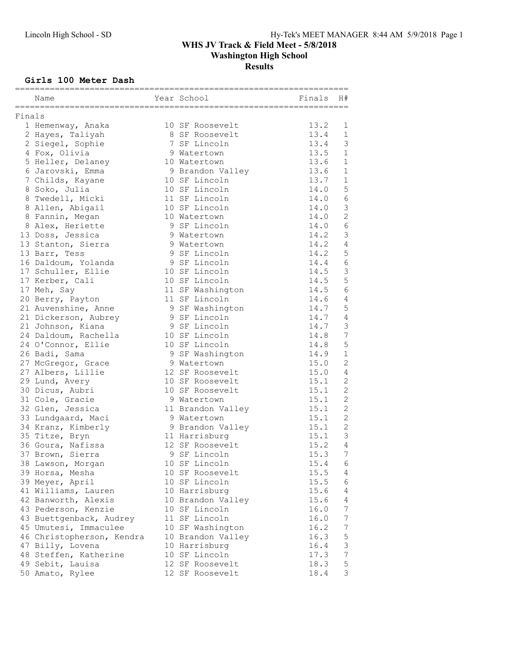## Girls 100 Meter Dash

|        | :===========<br>Name      | =========================<br>Year School | Finals | H#             |
|--------|---------------------------|------------------------------------------|--------|----------------|
| Finals |                           | ===============================          |        |                |
|        | 1 Hemenway, Anaka         | 10 SF Roosevelt                          | 13.2   | 1              |
|        | 2 Hayes, Taliyah          | 8 SF Roosevelt                           | 13.4   | 1              |
|        | 2 Siegel, Sophie          | 7 SF Lincoln                             | 13.4   | 3              |
|        | 4 Fox, Olivia             | 9 Watertown                              | 13.5   | $\mathbf 1$    |
|        | 5 Heller, Delaney         | 10 Watertown                             | 13.6   | $\mathbf 1$    |
|        | 6 Jarovski, Emma          | 9 Brandon Valley                         | 13.6   | $\mathbf{1}$   |
|        | 7 Childs, Kayane          | 10 SF Lincoln                            | 13.7   | $\mathbf 1$    |
|        | 8 Soko, Julia             | 10 SF Lincoln                            | 14.0   | $\mathsf S$    |
|        | 8 Twedell, Micki          | 11 SF Lincoln                            | 14.0   | 6              |
|        | 8 Allen, Abigail          | 10 SF Lincoln                            | 14.0   | $\mathsf 3$    |
|        | 8 Fannin, Megan           | 10 Watertown                             | 14.0   | $\overline{c}$ |
|        | 8 Alex, Heriette          | 9 SF Lincoln                             | 14.0   | $\epsilon$     |
|        | 13 Doss, Jessica          | 9 Watertown                              | 14.2   | $\mathfrak{Z}$ |
|        | 13 Stanton, Sierra        | 9 Watertown                              | 14.2   | $\overline{4}$ |
|        | 13 Barr, Tess             | 9 SF Lincoln                             | 14.2   | 5              |
|        | 16 Daldoum, Yolanda       | 9 SF Lincoln                             | 14.4   | $6\,$          |
|        | 17 Schuller, Ellie        | 10 SF Lincoln                            | 14.5   | $\mathfrak{Z}$ |
|        | 17 Kerber, Cali           | 10 SF Lincoln                            | 14.5   | 5              |
|        | 17 Meh, Say               | 11 SF Washington                         | 14.5   | $\sqrt{6}$     |
|        | 20 Berry, Payton          | 11 SF Lincoln                            | 14.6   | $\sqrt{4}$     |
|        | 21 Auvenshine, Anne       | 9 SF Washington                          | 14.7   | 5              |
|        | 21 Dickerson, Aubrey      | 9 SF Lincoln                             | 14.7   | $\overline{4}$ |
|        | 21 Johnson, Kiana         | 9 SF Lincoln                             | 14.7   | 3              |
|        | 24 Daldoum, Rachella      | 10 SF Lincoln                            | 14.8   | $\overline{7}$ |
|        | 24 O'Connor, Ellie        | 10 SF Lincoln                            | 14.8   | $\overline{5}$ |
|        | 26 Badi, Sama             | 9 SF Washington                          | 14.9   | $\mathbf{1}$   |
|        | 27 McGregor, Grace        | 9 Watertown                              | 15.0   | 2              |
|        | 27 Albers, Lillie         | 12 SF Roosevelt                          | 15.0   | 4              |
|        | 29 Lund, Avery            | 10 SF Roosevelt                          | 15.1   | 2              |
|        | 30 Dicus, Aubri           | 10 SF Roosevelt                          | 15.1   | 2              |
|        | 31 Cole, Gracie           | 9 Watertown                              | 15.1   | 2              |
|        | 32 Glen, Jessica          | 11 Brandon Valley                        | 15.1   | $\mathbf{2}$   |
|        | 33 Lundgaard, Maci        | 9 Watertown                              | 15.1   | 2              |
|        | 34 Kranz, Kimberly        | 9 Brandon Valley                         | 15.1   | 2              |
|        | 35 Titze, Bryn            | 11 Harrisburg                            | 15.1   | 3              |
|        | 36 Goura, Nafissa         | 12 SF Roosevelt                          | 15.2   | $\overline{4}$ |
|        | 37 Brown, Sierra          | 9 SF Lincoln                             | 15.3   | $\overline{7}$ |
|        | 38 Lawson, Morgan         | 10 SF Lincoln                            | 15.4   | 6              |
|        | 39 Horsa, Mesha           | 10 SF Roosevelt                          | 15.5   | 4              |
|        | 39 Meyer, April           | 10 SF Lincoln                            | 15.5   | 6              |
|        | 41 Williams, Lauren       | 10 Harrisburg                            | 15.6   | 4              |
|        | 42 Banworth, Alexis       | 10 Brandon Valley                        | 15.6   | 4              |
|        | 43 Pederson, Kenzie       | 10 SF Lincoln                            | 16.0   | 7              |
|        | 43 Buettgenback, Audrey   | 11 SF Lincoln                            | 16.0   | $\overline{7}$ |
|        | 45 Umutesi, Immaculee     | 10 SF Washington                         | 16.2   | 7              |
|        | 46 Christopherson, Kendra | 10 Brandon Valley                        | 16.3   | $\mathsf S$    |
|        | 47 Billy, Lovena          | 10 Harrisburg                            | 16.4   | $\mathsf 3$    |
|        | 48 Steffen, Katherine     | 10 SF Lincoln                            | 17.3   | $\overline{7}$ |
|        | 49 Sebit, Lauisa          | 12 SF Roosevelt                          | 18.3   | $\mathsf S$    |
|        | 50 Amato, Rylee           | 12 SF Roosevelt                          | 18.4   | 3              |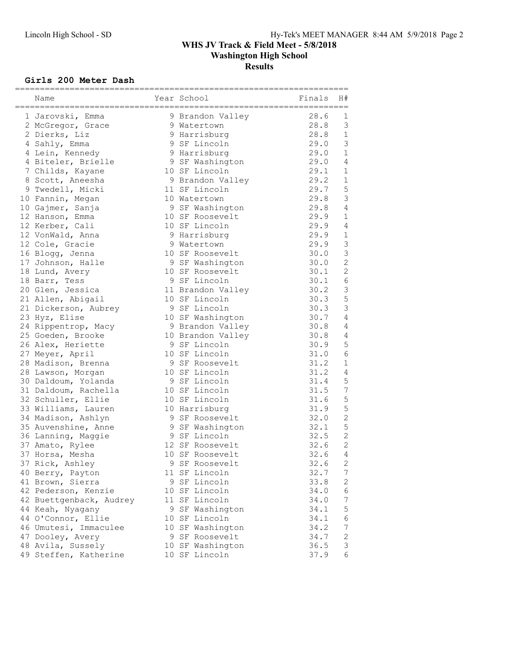## Girls 200 Meter Dash

| Name                    |    | Year School<br>========================= | Finals | H#             |
|-------------------------|----|------------------------------------------|--------|----------------|
| 1 Jarovski, Emma        |    | 9 Brandon Valley                         | 28.6   | 1              |
| 2 McGregor, Grace       |    | 9 Watertown                              | 28.8   | $\mathcal{S}$  |
| 2 Dierks, Liz           |    | 9 Harrisburg                             | 28.8   | $\mathbf{1}$   |
| 4 Sahly, Emma           |    | 9 SF Lincoln                             | 29.0   | 3              |
| 4 Lein, Kennedy         |    | 9 Harrisburg                             | 29.0   | $\mathbf{1}$   |
| 4 Biteler, Brielle      |    | 9 SF Washington                          | 29.0   | 4              |
| 7 Childs, Kayane        |    | 10 SF Lincoln                            | 29.1   | 1              |
| 8 Scott, Aneesha        |    | 9 Brandon Valley                         | 29.2   | $\mathbf{1}$   |
| 9 Twedell, Micki        |    | 11 SF Lincoln                            | 29.7   | 5              |
| 10 Fannin, Megan        |    | 10 Watertown                             | 29.8   | $\mathcal{S}$  |
| 10 Gajmer, Sanja        |    | 9 SF Washington                          | 29.8   | $\overline{4}$ |
| 12 Hanson, Emma         |    | 10 SF Roosevelt                          | 29.9   | 1              |
| 12 Kerber, Cali         |    | 10 SF Lincoln                            | 29.9   | $\overline{4}$ |
| 12 VonWald, Anna        |    | 9 Harrisburg                             | 29.9   | $\mathbf{1}$   |
| 12 Cole, Gracie         |    | 9 Watertown                              | 29.9   | $\mathcal{S}$  |
| 16 Blogg, Jenna         |    | 10 SF Roosevelt                          | 30.0   | $\mathsf 3$    |
| 17 Johnson, Halle       |    | 9 SF Washington                          | 30.0   | $\overline{c}$ |
| 18 Lund, Avery          |    | 10 SF Roosevelt                          | 30.1   | 2              |
| 18 Barr, Tess           |    | 9 SF Lincoln                             | 30.1   | $\epsilon$     |
| 20 Glen, Jessica        |    | 11 Brandon Valley                        | 30.2   | $\mathcal{S}$  |
| 21 Allen, Abigail       |    | 10 SF Lincoln                            | 30.3   | 5              |
| 21 Dickerson, Aubrey    |    | 9 SF Lincoln                             | 30.3   | 3              |
| 23 Hyz, Elise           |    | 10 SF Washington                         | 30.7   | $\overline{4}$ |
| 24 Rippentrop, Macy     |    | 9 Brandon Valley                         | 30.8   | $\overline{4}$ |
| 25 Goeden, Brooke       |    | 10 Brandon Valley                        | 30.8   | $\overline{4}$ |
| 26 Alex, Heriette       |    | 9 SF Lincoln                             | 30.9   | 5              |
| 27 Meyer, April         |    | 10 SF Lincoln                            | 31.0   | 6              |
| 28 Madison, Brenna      |    | 9 SF Roosevelt                           | 31.2   | 1              |
| 28 Lawson, Morgan       |    | 10 SF Lincoln                            | 31.2   | 4              |
| 30 Daldoum, Yolanda     |    | 9 SF Lincoln                             | 31.4   | 5              |
| 31 Daldoum, Rachella    |    | 10 SF Lincoln                            | 31.5   | $\overline{7}$ |
| 32 Schuller, Ellie      |    | 10 SF Lincoln                            | 31.6   | 5              |
| 33 Williams, Lauren     |    | 10 Harrisburg                            | 31.9   | 5              |
| 34 Madison, Ashlyn      |    | 9 SF Roosevelt                           | 32.0   | $\overline{c}$ |
| 35 Auvenshine, Anne     |    | 9 SF Washington                          | 32.1   | 5              |
| 36 Lanning, Maggie      |    | 9 SF Lincoln                             | 32.5   | $\overline{c}$ |
| 37 Amato, Rylee         |    | 12 SF Roosevelt                          | 32.6   | $\overline{2}$ |
| 37 Horsa, Mesha         | 10 | SF Roosevelt                             | 32.6   | 4              |
| 37 Rick, Ashley         |    | 9 SF Roosevelt                           | 32.6   | 2              |
| 40 Berry, Payton        |    | 11 SF Lincoln                            | 32.7   | 7              |
| 41 Brown, Sierra        |    | 9 SF Lincoln                             | 33.8   | 2              |
| 42 Pederson, Kenzie     |    | 10 SF Lincoln                            | 34.0   | 6              |
| 42 Buettgenback, Audrey |    | 11 SF Lincoln                            | 34.0   | 7              |
| 44 Keah, Nyagany        |    | 9 SF Washington                          | 34.1   | 5              |
| 44 O'Connor, Ellie      |    | 10 SF Lincoln                            | 34.1   | $\epsilon$     |
| 46 Umutesi, Immaculee   |    | 10 SF Washington                         | 34.2   | 7              |
| 47 Dooley, Avery        |    | 9 SF Roosevelt                           | 34.7   | 2              |
| 48 Avila, Sussely       |    | 10 SF Washington                         | 36.5   | 3<br>6         |
| 49 Steffen, Katherine   |    | 10 SF Lincoln                            | 37.9   |                |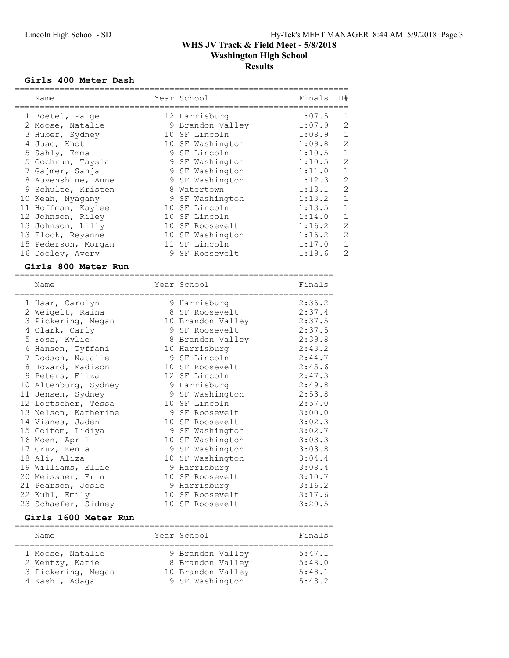#### Girls 400 Meter Dash

| Name<br>==============                              |            | Year School          | Finals | H#             |
|-----------------------------------------------------|------------|----------------------|--------|----------------|
| 1 Boetel, Paige                                     |            | 12 Harrisburg        | 1:07.5 | 1              |
| 2 Moose, Natalie                                    |            | 9 Brandon Valley     | 1:07.9 | $\overline{2}$ |
| 3 Huber, Sydney                                     |            | 10 SF Lincoln        | 1:08.9 | $\mathbf{1}$   |
| 4 Juac, Khot                                        |            | 10 SF Washington     | 1:09.8 | $\overline{c}$ |
| 5 Sahly, Emma                                       |            | 9 SF Lincoln         | 1:10.5 | $\mathbf{1}$   |
| 5 Cochrun, Taysia                                   |            | 9 SF Washington      | 1:10.5 | $\overline{c}$ |
| 7 Gajmer, Sanja                                     |            | 9 SF Washington      | 1:11.0 | $\mathbf{1}$   |
| 8 Auvenshine, Anne                                  |            | 9 SF Washington      | 1:12.3 | $\overline{2}$ |
| 9 Schulte, Kristen                                  |            | 8 Watertown          | 1:13.1 | $\overline{c}$ |
| 10 Keah, Nyagany                                    |            | 9 SF Washington      | 1:13.2 | $\mathbf{1}$   |
| 11 Hoffman, Kaylee                                  |            | 10 SF Lincoln        | 1:13.5 | $\mathbf{1}$   |
| 12 Johnson, Riley                                   |            | 10 SF Lincoln        | 1:14.0 | $\mathbf{1}$   |
| 13 Johnson, Lilly                                   |            | 10 SF Roosevelt      | 1:16.2 | $\overline{c}$ |
| 13 Flock, Reyanne                                   |            | 10 SF Washington     | 1:16.2 | $\overline{2}$ |
| 15 Pederson, Morgan                                 |            | 11 SF Lincoln        | 1:17.0 | $\mathbf 1$    |
| 16 Dooley, Avery                                    |            | 9 SF Roosevelt       | 1:19.6 | $\overline{2}$ |
| Girls 800 Meter Run<br>============================ | .========= | -------------------- |        |                |
| Name<br>=======================                     |            | Year School          | Finals |                |
| 1 Haar, Carolyn                                     |            | 9 Harrisburg         | 2:36.2 |                |
| 2 Weigelt, Raina                                    |            | 8 SF Roosevelt       | 2:37.4 |                |
| 3 Pickering, Megan                                  |            | 10 Brandon Valley    | 2:37.5 |                |
| 4 Clark, Carly                                      |            | 9 SF Roosevelt       | 2:37.5 |                |
| 5 Foss, Kylie                                       |            | 8 Brandon Valley     | 2:39.8 |                |
| 6 Hanson, Tyffani                                   |            | 10 Harrisburg        | 2:43.2 |                |
| 7 Dodson, Natalie                                   |            | 9 SF Lincoln         | 2:44.7 |                |
| 8 Howard, Madison                                   |            | 10 SF Roosevelt      | 2:45.6 |                |
| 9 Peters, Eliza                                     |            | 12 SF Lincoln        | 2:47.3 |                |
| 10 Altenburg, Sydney                                |            | 9 Harrisburg         | 2:49.8 |                |
| 11 Jensen, Sydney                                   |            | 9 SF Washington      | 2:53.8 |                |
| 12 Lortscher, Tessa                                 |            | 10 SF Lincoln        | 2:57.0 |                |
| 13 Nelson, Katherine                                |            | 9 SF Roosevelt       | 3:00.0 |                |
| 14 Vianes, Jaden                                    |            | 10 SF Roosevelt      | 3:02.3 |                |
| 15 Goitom, Lidiya                                   |            | 9 SF Washington      | 3:02.7 |                |
| 16 Moen, April                                      |            | 10 SF Washington     | 3:03.3 |                |
| 17 Cruz, Kenia                                      |            | 9 SF Washington      | 3:03.8 |                |
| 18 Ali, Aliza                                       |            | 10 SF Washington     | 3:04.4 |                |
| 19 Williams, Ellie                                  |            | 9 Harrisburg         | 3:08.4 |                |
| 20 Meissner, Erin                                   |            | 10 SF Roosevelt      | 3:10.7 |                |
| 21 Pearson, Josie                                   |            | 9 Harrisburg         | 3:16.2 |                |
| 22 Kuhl, Emily                                      |            | 10 SF Roosevelt      | 3:17.6 |                |
| 23 Schaefer, Sidney                                 |            | 10 SF Roosevelt      | 3:20.5 |                |
| $C1$ $\sim$ 1600 Matam Dun                          |            |                      |        |                |

#### Girls 1600 Meter Run

| Name               | Year School       | Finals |
|--------------------|-------------------|--------|
| 1 Moose, Natalie   | 9 Brandon Valley  | 5:47.1 |
| 2 Wentzy, Katie    | 8 Brandon Valley  | 5:48.0 |
| 3 Pickering, Megan | 10 Brandon Valley | 5:48.1 |
| 4 Kashi, Adaga     | 9 SF Washington   | 5:48.2 |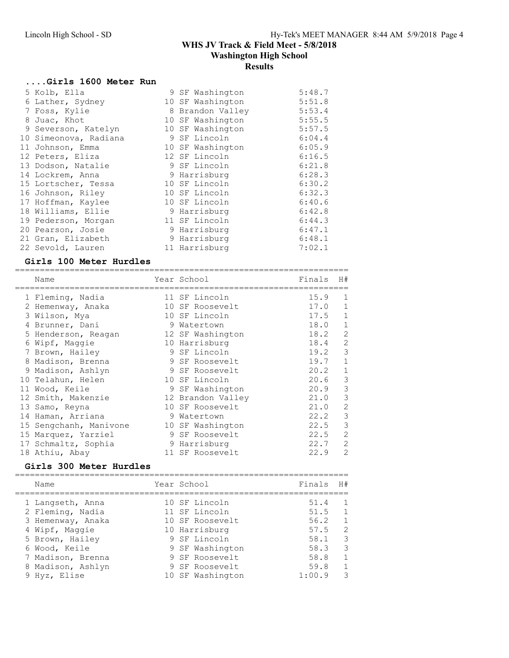#### ....Girls 1600 Meter Run

| 5 Kolb, Ella          | 9 SF Washington  | 5:48.7 |
|-----------------------|------------------|--------|
| 6 Lather, Sydney      | 10 SF Washington | 5:51.8 |
| 7 Foss, Kylie         | 8 Brandon Valley | 5:53.4 |
| 8 Juac, Khot          | 10 SF Washington | 5:55.5 |
| 9 Severson, Katelyn   | 10 SF Washington | 5:57.5 |
| 10 Simeonova, Radiana | 9 SF Lincoln     | 6:04.4 |
| 11 Johnson, Emma      | 10 SF Washington | 6:05.9 |
| 12 Peters, Eliza      | 12 SF Lincoln    | 6:16.5 |
| 13 Dodson, Natalie    | 9 SF Lincoln     | 6:21.8 |
| 14 Lockrem, Anna      | 9 Harrisburg     | 6:28.3 |
| 15 Lortscher, Tessa   | 10 SF Lincoln    | 6:30.2 |
| 16 Johnson, Riley     | 10 SF Lincoln    | 6:32.3 |
| 17 Hoffman, Kaylee    | 10 SF Lincoln    | 6:40.6 |
| 18 Williams, Ellie    | 9 Harrisburg     | 6:42.8 |
| 19 Pederson, Morgan   | 11 SF Lincoln    | 6:44.3 |
| 20 Pearson, Josie     | 9 Harrisburg     | 6:47.1 |
| 21 Gran, Elizabeth    | 9 Harrisburg     | 6:48.1 |
| 22 Sevold, Lauren     | 11 Harrisburg    | 7:02.1 |

#### Girls 100 Meter Hurdles

| ----------------------------- |   |                   |        |                |
|-------------------------------|---|-------------------|--------|----------------|
| Name                          |   | Year School       | Finals | H#             |
| 1 Fleming, Nadia              |   | 11 SF Lincoln     | 15.9   | 1              |
| 2 Hemenway, Anaka             |   | 10 SF Roosevelt   | 17.0   | 1              |
| 3 Wilson, Mya                 |   | 10 SF Lincoln     | 17.5   | 1              |
| 4 Brunner, Dani               |   | 9 Watertown       | 18.0   | $\mathbf{1}$   |
| 5 Henderson, Reagan           |   | 12 SF Washington  | 18.2   | 2              |
| 6 Wipf, Maggie                |   | 10 Harrisburg     | 18.4   | 2              |
| 7 Brown, Hailey               |   | 9 SF Lincoln      | 19.2   | 3              |
| 8 Madison, Brenna             |   | 9 SF Roosevelt    | 19.7   | $\mathbf 1$    |
| 9 Madison, Ashlyn             |   | 9 SF Roosevelt    | 20.2   | $\mathbf{1}$   |
| 10 Telahun, Helen             |   | 10 SF Lincoln     | 20.6   | 3              |
| 11 Wood, Keile                |   | 9 SF Washington   | 20.9   | 3              |
| 12 Smith, Makenzie            |   | 12 Brandon Valley | 21.0   | 3              |
| 13 Samo, Reyna                |   | 10 SF Roosevelt   | 21.0   | $\overline{2}$ |
| 14 Haman, Arriana             | 9 | Watertown         | 22.2   | 3              |
| 15 Sengchanh, Manivone        |   | 10 SF Washington  | 22.5   | 3              |
| 15 Marquez, Yarziel           |   | 9 SF Roosevelt    | 22.5   | $\overline{2}$ |
| 17 Schmaltz, Sophia           |   | 9 Harrisburg      | 22.7   | 2              |
| 18 Athiu, Abay                |   | 11 SF Roosevelt   | 22.9   | $\overline{2}$ |

## Girls 300 Meter Hurdles

| Name              | Year School |                  | Finals | H #            |
|-------------------|-------------|------------------|--------|----------------|
| 1 Langseth, Anna  |             | 10 SF Lincoln    | 51.4   |                |
| 2 Fleming, Nadia  |             | 11 SF Lincoln    | 51.5   | $\overline{1}$ |
| 3 Hemenway, Anaka |             | 10 SF Roosevelt  | 56.2   | $\overline{1}$ |
| 4 Wipf, Maggie    |             | 10 Harrisburg    | 57.5   | 2              |
| 5 Brown, Hailey   |             | 9 SF Lincoln     | 58.1   | 3              |
| 6 Wood, Keile     |             | 9 SF Washington  | 58.3   | 3              |
| 7 Madison, Brenna |             | 9 SF Roosevelt   | 58.8   | $\overline{1}$ |
| 8 Madison, Ashlyn |             | 9 SF Roosevelt   | 59.8   | $\overline{1}$ |
| 9 Hyz, Elise      |             | 10 SF Washington | 1:00.9 | 3              |
|                   |             |                  |        |                |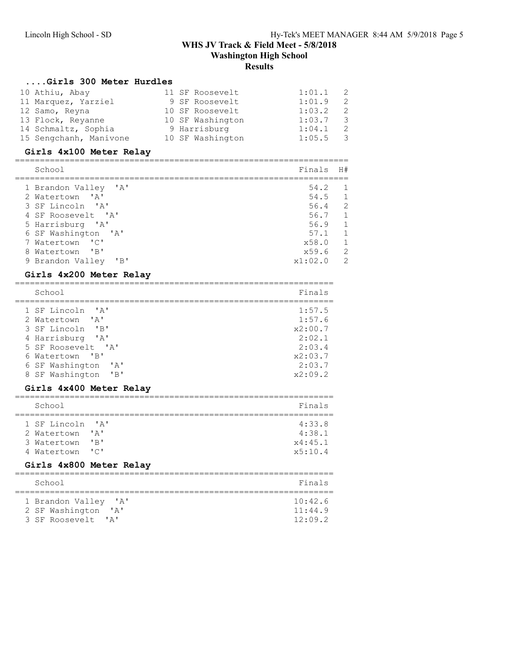#### ....Girls 300 Meter Hurdles

| 10 Athiu, Abay         | 11 SF Roosevelt  | 1:01.1<br>$\overline{2}$          |
|------------------------|------------------|-----------------------------------|
| 11 Marquez, Yarziel    | 9 SF Roosevelt   | 1:01.9<br>-2                      |
| 12 Samo, Reyna         | 10 SF Roosevelt  | 1:03.2<br>- 2                     |
| 13 Flock, Reyanne      | 10 SF Washington | 1:03.7<br>- 3                     |
| 14 Schmaltz, Sophia    | 9 Harrisburg     | 1:04.1<br>- 2                     |
| 15 Sengchanh, Manivone | 10 SF Washington | 1:05.5<br>$\overline{\mathbf{3}}$ |

### Girls 4x100 Meter Relay

| School                    | Finals  | H#             |
|---------------------------|---------|----------------|
| 1 Brandon Valley 'A'      | 54.2    | $\overline{1}$ |
| 2 Watertown 'A'           | 54.5    | $\overline{1}$ |
| 3 SF Lincoln 'A'          | 56.4    | 2              |
| 4 SF Roosevelt 'A'        | 56.7    | $\overline{1}$ |
| 5 Harrisburg 'A'          | 56.9    | $\overline{1}$ |
| 6 SF Washington 'A'       | 57.1    | $\overline{1}$ |
| 7 Watertown 'C'           | x58.0   | $\sqrt{1}$     |
| 8 Watertown 'B'           | x59.6   | $\overline{2}$ |
| $'$ B<br>9 Brandon Valley | x1:02.0 | 2              |
|                           |         |                |

### Girls 4x200 Meter Relay

| School                                                          | Finals  |
|-----------------------------------------------------------------|---------|
| 1 SF Lincoln 'A'                                                | 1:57.5  |
| 2 Watertown 'A'                                                 | 1:57.6  |
| 3 SF Lincoln<br>$^{\prime}$ B <sup><math>^{\prime}</math></sup> | x2:00.7 |
| 4 Harrisburg 'A'                                                | 2:02.1  |
| 5 SF Roosevelt. 'A'                                             | 2:03.4  |
| 6 Watertown 'B'                                                 | x2:03.7 |
| 6 SF Washington<br>$\mathsf{Z}$                                 | 2:03.7  |
| 8 SF Washington 'B'                                             | x2:09.2 |

#### Girls 4x400 Meter Relay

| School           |                          | Finals  |
|------------------|--------------------------|---------|
|                  |                          |         |
| 1 SF Lincoln 'A' |                          | 4:33.8  |
| 2 Watertown 'A'  |                          | 4:38.1  |
| 3 Watertown      | $'$ B $'$                | x4:45.1 |
| 4 Watertown      | $\overline{\phantom{a}}$ | x5:10.4 |

#### Girls 4x800 Meter Relay

| School                                                                                                      | Finals                        |
|-------------------------------------------------------------------------------------------------------------|-------------------------------|
| 1 Brandon Valley 'A'<br>2 SF Washington<br>$\mathsf{A}$<br>3 SF Roosevelt<br>$\mathsf{I} \wedge \mathsf{I}$ | 10:42.6<br>11:44.9<br>12:09.2 |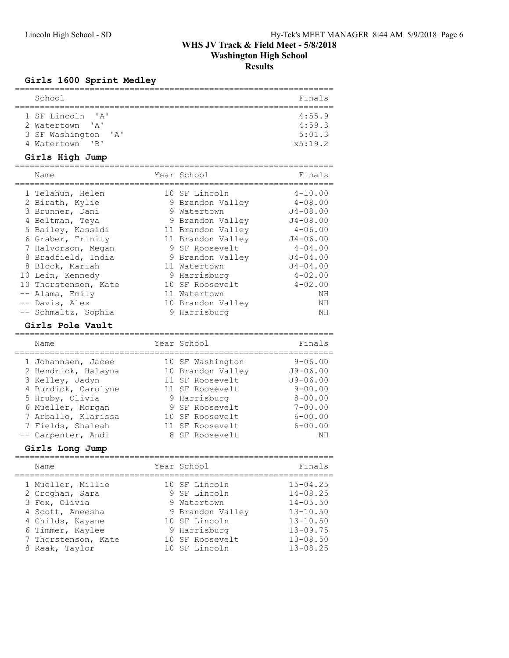# Girls 1600 Sprint Medley

| School                                 | Finals  |
|----------------------------------------|---------|
|                                        |         |
| 1 SF Lincoln 'A'                       | 4:55.9  |
| 2 Watertown 'A'                        | 4:59.3  |
| 3 SF Washington 'A'                    | 5:01.3  |
| 4 Watertown<br>$\overline{\mathbf{R}}$ | x5:19.2 |

### Girls High Jump

| Name                 | Year School       | Finals       |
|----------------------|-------------------|--------------|
| 1 Telahun, Helen     | 10 SF Lincoln     | $4 - 10.00$  |
| 2 Birath, Kylie      | 9 Brandon Valley  | $4 - 08.00$  |
| 3 Brunner, Dani      | 9 Watertown       | $J4 - 08.00$ |
| 4 Beltman, Teya      | 9 Brandon Valley  | $J4 - 08.00$ |
| 5 Bailey, Kassidi    | 11 Brandon Valley | $4 - 06.00$  |
| 6 Graber, Trinity    | 11 Brandon Valley | $J4 - 06.00$ |
| 7 Halvorson, Megan   | 9 SF Roosevelt    | $4 - 04.00$  |
| 8 Bradfield, India   | 9 Brandon Valley  | $J4 - 04.00$ |
| 8 Block, Mariah      | 11 Watertown      | $J4 - 04.00$ |
| 10 Lein, Kennedy     | 9 Harrisburg      | $4 - 02.00$  |
| 10 Thorstenson, Kate | 10 SF Roosevelt   | $4 - 02.00$  |
| $--$ Alama, Emily    | 11 Watertown      | NΗ           |
| -- Davis, Alex       | 10 Brandon Valley | ΝH           |
| -- Schmaltz, Sophia  | 9 Harrisburg      | NΗ           |

#### Girls Pole Vault

| GILLS FOTE VAUIL    |                   |              |
|---------------------|-------------------|--------------|
| Name                | Year School       | Finals       |
| 1 Johannsen, Jacee  | 10 SF Washington  | $9 - 06.00$  |
| 2 Hendrick, Halayna | 10 Brandon Valley | $J9 - 06.00$ |
| 3 Kelley, Jadyn     | 11 SF Roosevelt   | $J9 - 06.00$ |
| 4 Burdick, Carolyne | 11 SF Roosevelt   | $9 - 00.00$  |
| 5 Hruby, Olivia     | 9 Harrisburg      | $8 - 00.00$  |
| 6 Mueller, Morgan   | 9 SF Roosevelt    | $7 - 00.00$  |
| 7 Arballo, Klarissa | 10 SF Roosevelt   | $6 - 00.00$  |
| 7 Fields, Shaleah   | 11 SF Roosevelt   | $6 - 00.00$  |
| -- Carpenter, Andi  | 8 SF Roosevelt    | NΗ           |

### Girls Long Jump

| Name                                 | Year School                   | Finals                       |
|--------------------------------------|-------------------------------|------------------------------|
| 1 Mueller, Millie<br>2 Croghan, Sara | 10 SF Lincoln<br>9 SF Lincoln | $15 - 04.25$<br>$14 - 08.25$ |
| 3 Fox, Olivia                        | 9 Watertown                   | $14 - 05.50$                 |
| 4 Scott, Aneesha                     | 9 Brandon Valley              | $13 - 10.50$                 |
| 4 Childs, Kayane                     | 10 SF Lincoln                 | $13 - 10.50$                 |
| 6 Timmer, Kaylee                     | 9 Harrisburg                  | $13 - 09.75$                 |
| 7 Thorstenson, Kate                  | 10 SF Roosevelt               | $13 - 08.50$                 |
| 8 Raak, Taylor                       | 10 SF Lincoln                 | $13 - 08.25$                 |
|                                      |                               |                              |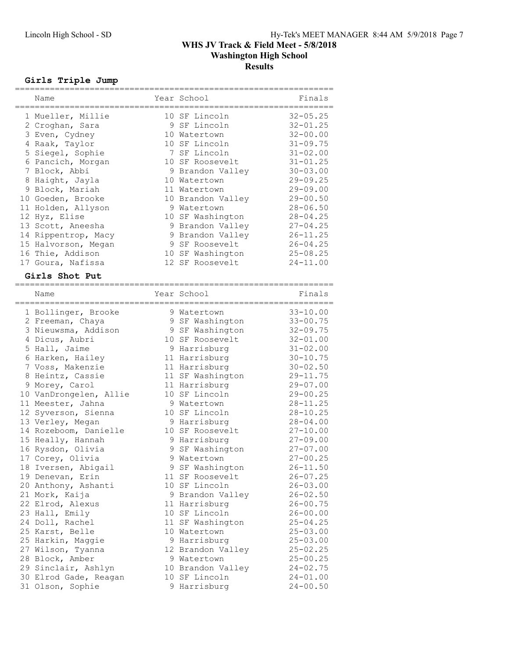### Girls Triple Jump

| Name                |   | Year School       | Finals       |
|---------------------|---|-------------------|--------------|
| 1 Mueller, Millie   |   | 10 SF Lincoln     | $32 - 05.25$ |
| 2 Croghan, Sara     |   | 9 SF Lincoln      | $32 - 01.25$ |
| 3 Even, Cydney      |   | 10 Watertown      | $32 - 00.00$ |
| 4 Raak, Taylor      |   | 10 SF Lincoln     | $31 - 09.75$ |
| 5 Siegel, Sophie    |   | 7 SF Lincoln      | $31 - 02.00$ |
| 6 Pancich, Morgan   |   | 10 SF Roosevelt   | $31 - 01.25$ |
| 7 Block, Abbi       |   | 9 Brandon Valley  | $30 - 03.00$ |
| 8 Haight, Jayla     |   | 10 Watertown      | $29 - 09.25$ |
| 9 Block, Mariah     |   | 11 Watertown      | $29 - 09.00$ |
| 10 Goeden, Brooke   |   | 10 Brandon Valley | $29 - 00.50$ |
| 11 Holden, Allyson  | 9 | Watertown         | $28 - 06.50$ |
| 12 Hyz, Elise       |   | 10 SF Washington  | $28 - 04.25$ |
| 13 Scott, Aneesha   |   | 9 Brandon Valley  | $27 - 04.25$ |
| 14 Rippentrop, Macy |   | 9 Brandon Valley  | $26 - 11.25$ |
| 15 Halvorson, Megan |   | 9 SF Roosevelt    | $26 - 04.25$ |
| 16 Thie, Addison    |   | 10 SF Washington  | $25 - 08.25$ |
| 17 Goura, Nafissa   |   | 12 SF Roosevelt   | $24 - 11.00$ |

#### Girls Shot Put

| Name                   | Year School       | Finals       |
|------------------------|-------------------|--------------|
| 1 Bollinger, Brooke    | 9 Watertown       | $33 - 10.00$ |
| 2 Freeman, Chaya       | 9 SF Washington   | $33 - 00.75$ |
| 3 Nieuwsma, Addison    | 9 SF Washington   | $32 - 09.75$ |
| 4 Dicus, Aubri         | 10 SF Roosevelt   | $32 - 01.00$ |
| 5 Hall, Jaime          | 9 Harrisburg      | $31 - 02.00$ |
| 6 Harken, Hailey       | 11 Harrisburg     | $30 - 10.75$ |
| 7 Voss, Makenzie       | 11 Harrisburg     | $30 - 02.50$ |
| 8 Heintz, Cassie       | 11 SF Washington  | $29 - 11.75$ |
| 9 Morey, Carol         | 11 Harrisburg     | $29 - 07.00$ |
| 10 VanDrongelen, Allie | 10 SF Lincoln     | $29 - 00.25$ |
| 11 Meester, Jahna      | 9 Watertown       | $28 - 11.25$ |
| 12 Syverson, Sienna    | 10 SF Lincoln     | $28 - 10.25$ |
| 13 Verley, Megan       | 9 Harrisburg      | $28 - 04.00$ |
| 14 Rozeboom, Danielle  | 10 SF Roosevelt   | $27 - 10.00$ |
| 15 Heally, Hannah      | 9 Harrisburg      | $27 - 09.00$ |
| 16 Rysdon, Olivia      | 9 SF Washington   | $27 - 07.00$ |
| 17 Corey, Olivia       | 9 Watertown       | $27 - 00.25$ |
| 18 Iversen, Abigail    | 9 SF Washington   | $26 - 11.50$ |
| 19 Denevan, Erin       | 11 SF Roosevelt   | $26 - 07.25$ |
| 20 Anthony, Ashanti    | 10 SF Lincoln     | $26 - 03.00$ |
| 21 Mork, Kaija         | 9 Brandon Valley  | $26 - 02.50$ |
| 22 Elrod, Alexus       | 11 Harrisburg     | $26 - 00.75$ |
| 23 Hall, Emily         | 10 SF Lincoln     | $26 - 00.00$ |
| 24 Doll, Rachel        | 11 SF Washington  | $25 - 04.25$ |
| 25 Karst, Belle        | 10 Watertown      | $25 - 03.00$ |
| 25 Harkin, Maggie      | 9 Harrisburg      | $25 - 03.00$ |
| 27 Wilson, Tyanna      | 12 Brandon Valley | $25 - 02.25$ |
| 28 Block, Amber        | 9 Watertown       | $25 - 00.25$ |
| 29 Sinclair, Ashlyn    | 10 Brandon Valley | $24 - 02.75$ |
| 30 Elrod Gade, Reagan  | 10 SF Lincoln     | $24 - 01.00$ |
| 31 Olson, Sophie       | 9 Harrisburg      | $24 - 00.50$ |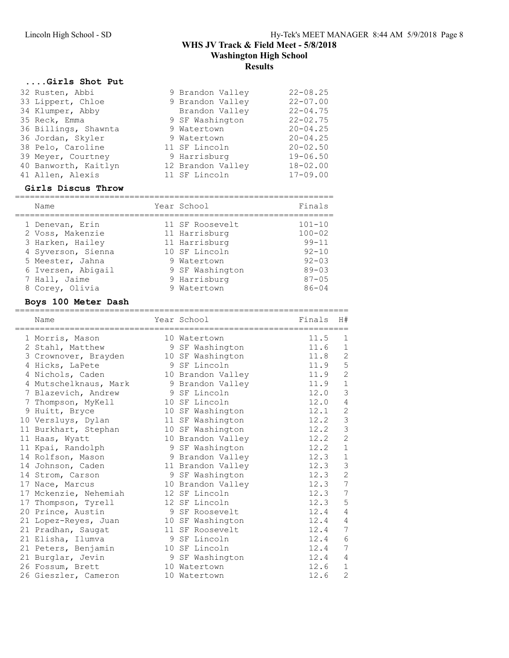### ....Girls Shot Put

| 32 Rusten, Abbi      | 9 Brandon Valley  | $22 - 08.25$ |
|----------------------|-------------------|--------------|
| 33 Lippert, Chloe    | 9 Brandon Valley  | $22 - 07.00$ |
| 34 Klumper, Abby     | Brandon Valley    | $22 - 04.75$ |
| 35 Reck, Emma        | 9 SF Washington   | $22 - 02.75$ |
| 36 Billings, Shawnta | 9 Watertown       | $20 - 04.25$ |
| 36 Jordan, Skyler    | 9 Watertown       | $20 - 04.25$ |
| 38 Pelo, Caroline    | 11 SF Lincoln     | $20 - 02.50$ |
| 39 Meyer, Courtney   | 9 Harrisburg      | $19 - 06.50$ |
| 40 Banworth, Kaitlyn | 12 Brandon Valley | $18 - 02.00$ |
| 41 Allen, Alexis     | 11 SF Lincoln     | $17 - 09.00$ |

#### Girls Discus Throw

| Name               | Year School     | Finals     |
|--------------------|-----------------|------------|
| 1 Denevan, Erin    | 11 SF Roosevelt | $101 - 10$ |
| 2 Voss, Makenzie   | 11 Harrisburg   | $100 - 02$ |
| 3 Harken, Hailey   | 11 Harrisburg   | $99 - 11$  |
| 4 Syverson, Sienna | 10 SF Lincoln   | $92 - 10$  |
| 5 Meester, Jahna   | 9 Watertown     | $92 - 03$  |
| 6 Iversen, Abigail | 9 SF Washington | $89 - 03$  |
| 7 Hall, Jaime      | 9 Harrisburg    | $87 - 05$  |
| 8 Corey, Olivia    | 9 Watertown     | $86 - 04$  |

### Boys 100 Meter Dash

| Name<br>===================================== | Year School<br>============================== | Finals | H#             |
|-----------------------------------------------|-----------------------------------------------|--------|----------------|
| 1 Morris, Mason                               | 10 Watertown                                  | 11.5   | 1              |
| 2 Stahl, Matthew                              | 9 SF Washington                               | 11.6   | 1              |
| 3 Crownover, Brayden                          | 10 SF Washington                              | 11.8   | $\mathbf{2}$   |
| 4 Hicks, LaPete                               | 9 SF Lincoln                                  | 11.9   | 5              |
| 4 Nichols, Caden                              | 10 Brandon Valley                             | 11.9   | $\overline{c}$ |
| 4 Mutschelknaus, Mark                         | 9 Brandon Valley                              | 11.9   | $1\,$          |
| 7 Blazevich, Andrew                           | 9 SF Lincoln                                  | 12.0   | 3              |
| 7 Thompson, MyKell                            | 10 SF Lincoln                                 | 12.0   | 4              |
| 9 Huitt, Bryce                                | 10 SF Washington                              | 12.1   | $\overline{c}$ |
| 10 Versluys, Dylan                            | 11 SF Washington                              | 12.2   | $\mathsf 3$    |
| 11 Burkhart, Stephan                          | 10 SF Washington                              | 12.2   | $\mathcal{S}$  |
| 11 Haas, Wyatt                                | 10 Brandon Valley                             | 12.2   | $\overline{c}$ |
| 11 Kpai, Randolph                             | 9 SF Washington                               | 12.2   | $\mathbf 1$    |
| 14 Rolfson, Mason                             | 9 Brandon Valley                              | 12.3   | $1\,$          |
| 14 Johnson, Caden                             | 11 Brandon Valley                             | 12.3   | $\mathsf 3$    |
| 14 Strom, Carson                              | 9 SF Washington                               | 12.3   | $\overline{c}$ |
| 17 Nace, Marcus                               | 10 Brandon Valley                             | 12.3   | $\overline{7}$ |
| 17 Mckenzie, Nehemiah                         | 12 SF Lincoln                                 | 12.3   | $\overline{7}$ |
| 17 Thompson, Tyrell                           | 12 SF Lincoln                                 | 12.3   | 5              |
| 20 Prince, Austin                             | 9 SF Roosevelt                                | 12.4   | 4              |
| 21 Lopez-Reyes, Juan                          | 10 SF Washington                              | 12.4   | 4              |
| 21 Pradhan, Saugat                            | 11 SF Roosevelt                               | 12.4   | 7              |
| 21 Elisha, Ilumva                             | 9 SF Lincoln                                  | 12.4   | 6              |
| 21 Peters, Benjamin                           | 10 SF Lincoln                                 | 12.4   | 7              |
| 21 Burglar, Jevin                             | 9 SF Washington                               | 12.4   | 4              |
| 26 Fossum, Brett                              | 10 Watertown                                  | 12.6   | $\mathbf 1$    |
| 26 Gieszler, Cameron                          | 10 Watertown                                  | 12.6   | $\overline{c}$ |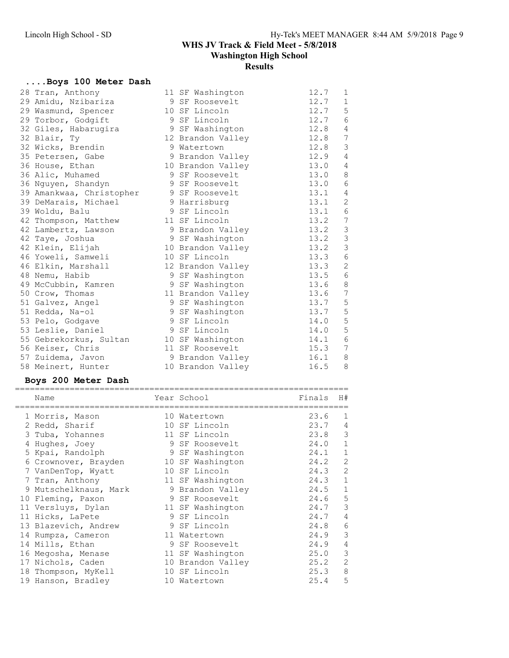# ....Boys 100 Meter Dash

| 28 Tran, Anthony         | 11 SF Washington  | 12.7 | 1                                     |
|--------------------------|-------------------|------|---------------------------------------|
| 29 Amidu, Nzibariza      | 9 SF Roosevelt    | 12.7 | $\mathbf 1$                           |
| 29 Wasmund, Spencer      | 10 SF Lincoln     | 12.7 | 5                                     |
| 29 Torbor, Godgift       | 9 SF Lincoln      | 12.7 | $\epsilon$                            |
| 32 Giles, Habarugira     | 9 SF Washington   | 12.8 | 4                                     |
| 32 Blair, Ty             | 12 Brandon Valley | 12.8 | 7                                     |
| 32 Wicks, Brendin        | 9 Watertown       | 12.8 | 3                                     |
| 35 Petersen, Gabe        | 9 Brandon Valley  | 12.9 | $\overline{4}$                        |
| 36 House, Ethan          | 10 Brandon Valley | 13.0 | 4                                     |
| 36 Alic, Muhamed         | 9 SF Roosevelt    | 13.0 | 8                                     |
| 36 Nguyen, Shandyn       | 9 SF Roosevelt    | 13.0 | 6                                     |
| 39 Amankwaa, Christopher | 9 SF Roosevelt    | 13.1 | 4                                     |
| 39 DeMarais, Michael     | 9 Harrisburg      | 13.1 | 2                                     |
| 39 Woldu, Balu           | 9 SF Lincoln      | 13.1 | 6                                     |
| 42 Thompson, Matthew     | 11 SF Lincoln     | 13.2 | 7                                     |
| 42 Lambertz, Lawson      | 9 Brandon Valley  | 13.2 | $\begin{array}{c} 3 \\ 3 \end{array}$ |
| 42 Taye, Joshua          | 9 SF Washington   | 13.2 |                                       |
| 42 Klein, Elijah         | 10 Brandon Valley | 13.2 | $\mathcal{S}$                         |
| 46 Yoweli, Samweli       | 10 SF Lincoln     | 13.3 | $6\phantom{1}6$                       |
| 46 Elkin, Marshall       | 12 Brandon Valley | 13.3 | 2                                     |
| 48 Nemu, Habib           | 9 SF Washington   | 13.5 | $6\,$                                 |
| 49 McCubbin, Kamren      | 9 SF Washington   | 13.6 | $\,8\,$                               |
| 50 Crow, Thomas          | 11 Brandon Valley | 13.6 | $\overline{7}$                        |
| 51 Galvez, Angel         | 9 SF Washington   | 13.7 | 5                                     |
| 51 Redda, Na-ol          | 9 SF Washington   | 13.7 | 5                                     |
| 53 Pelo, Godgave         | 9 SF Lincoln      | 14.0 | 5                                     |
| 53 Leslie, Daniel        | 9 SF Lincoln      | 14.0 | 5                                     |
| 55 Gebrekorkus, Sultan   | 10 SF Washington  | 14.1 | 6                                     |
| 56 Keiser, Chris         | 11 SF Roosevelt   | 15.3 | 7                                     |
| 57 Zuidema, Javon        | 9 Brandon Valley  | 16.1 | 8                                     |
| 58 Meinert, Hunter       | 10 Brandon Valley | 16.5 | 8                                     |

### Boys 200 Meter Dash

| Name                  | Year School       | Finals | H#             |
|-----------------------|-------------------|--------|----------------|
| 1 Morris, Mason       | 10 Watertown      | 23.6   | $\mathbf{1}$   |
| 2 Redd, Sharif        | 10 SF Lincoln     | 23.7   | 4              |
| 3 Tuba, Yohannes      | 11 SF Lincoln     | 23.8   | 3              |
| 4 Hughes, Joey        | 9 SF Roosevelt    | 24.0   | $\mathbf 1$    |
| 5 Kpai, Randolph      | 9 SF Washington   | 24.1   | 1              |
| 6 Crownover, Brayden  | 10 SF Washington  | 24.2   | $\overline{2}$ |
| 7 VanDenTop, Wyatt    | 10 SF Lincoln     | 24.3   | 2              |
| 7 Tran, Anthony       | 11 SF Washington  | 24.3   | $\mathbf 1$    |
| 9 Mutschelknaus, Mark | 9 Brandon Valley  | 24.5   | 1              |
| 10 Fleming, Paxon     | 9 SF Roosevelt    | 24.6   | 5              |
| 11 Versluys, Dylan    | 11 SF Washington  | 24.7   | 3              |
| 11 Hicks, LaPete      | 9 SF Lincoln      | 24.7   | 4              |
| 13 Blazevich, Andrew  | 9 SF Lincoln      | 24.8   | 6              |
| 14 Rumpza, Cameron    | 11 Watertown      | 24.9   | 3              |
| 14 Mills, Ethan       | 9 SF Roosevelt    | 24.9   | 4              |
| 16 Megosha, Menase    | 11 SF Washington  | 25.0   | 3              |
| 17 Nichols, Caden     | 10 Brandon Valley | 25.2   | $\overline{2}$ |
| 18 Thompson, MyKell   | 10 SF Lincoln     | 25.3   | 8              |
| 19 Hanson, Bradley    | 10 Watertown      | 25.4   | 5              |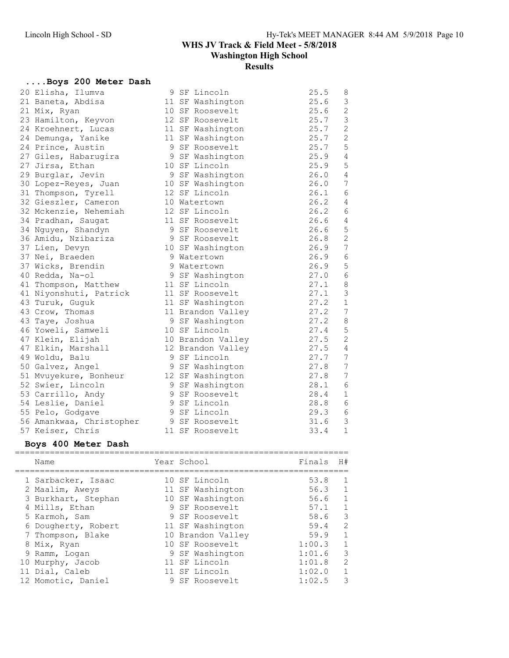# ....Boys 200 Meter Dash

| 20 Elisha, Ilumva        | 9 SF Lincoln      | 25.5 | 8               |
|--------------------------|-------------------|------|-----------------|
| 21 Baneta, Abdisa        | 11 SF Washington  | 25.6 | 3               |
| 21 Mix, Ryan             | 10 SF Roosevelt   | 25.6 | 2               |
| 23 Hamilton, Keyvon      | 12 SF Roosevelt   | 25.7 | $\mathfrak{Z}$  |
| 24 Kroehnert, Lucas      | 11 SF Washington  | 25.7 | $\mathbf{2}$    |
| 24 Demunga, Yanike       | 11 SF Washington  | 25.7 | $\overline{c}$  |
| 24 Prince, Austin        | 9 SF Roosevelt    | 25.7 | 5               |
| 27 Giles, Habarugira     | 9 SF Washington   | 25.9 | 4               |
| 27 Jirsa, Ethan          | 10 SF Lincoln     | 25.9 | 5               |
| 29 Burglar, Jevin        | 9 SF Washington   | 26.0 | $\overline{4}$  |
| 30 Lopez-Reyes, Juan     | 10 SF Washington  | 26.0 | $7\phantom{.0}$ |
| 31 Thompson, Tyrell      | 12 SF Lincoln     | 26.1 | 6               |
| 32 Gieszler, Cameron     | 10 Watertown      | 26.2 | 4               |
| 32 Mckenzie, Nehemiah    | 12 SF Lincoln     | 26.2 | 6               |
| 34 Pradhan, Saugat       | 11 SF Roosevelt   | 26.6 | $\overline{4}$  |
| 34 Nguyen, Shandyn       | 9 SF Roosevelt    | 26.6 | $\mathsf S$     |
| 36 Amidu, Nzibariza      | 9 SF Roosevelt    | 26.8 | $\overline{c}$  |
| 37 Lien, Devyn           | 10 SF Washington  | 26.9 | 7               |
| 37 Nei, Braeden          | 9 Watertown       | 26.9 | $\epsilon$      |
| 37 Wicks, Brendin        | 9 Watertown       | 26.9 | 5               |
| 40 Redda, Na-ol          | 9 SF Washington   | 27.0 | $\epsilon$      |
| 41 Thompson, Matthew     | 11 SF Lincoln     | 27.1 | $\,8\,$         |
| 41 Niyonshuti, Patrick   | 11 SF Roosevelt   | 27.1 | 3               |
| 43 Turuk, Guquk          | 11 SF Washington  | 27.2 | $\mathbf{1}$    |
| 43 Crow, Thomas          | 11 Brandon Valley | 27.2 | 7               |
| 43 Taye, Joshua          | 9 SF Washington   | 27.2 | $\,8\,$         |
| 46 Yoweli, Samweli       | 10 SF Lincoln     | 27.4 | 5               |
| 47 Klein, Elijah         | 10 Brandon Valley | 27.5 | $\mathbf{2}$    |
| 47 Elkin, Marshall       | 12 Brandon Valley | 27.5 | $\sqrt{4}$      |
| 49 Woldu, Balu           | 9 SF Lincoln      | 27.7 | 7               |
| 50 Galvez, Angel         | 9 SF Washington   | 27.8 | 7               |
| 51 Mvuyekure, Bonheur    | 12 SF Washington  | 27.8 | $7\phantom{.0}$ |
| 52 Swier, Lincoln        | 9 SF Washington   | 28.1 | $\epsilon$      |
| 53 Carrillo, Andy        | 9 SF Roosevelt    | 28.4 | 1               |
| 54 Leslie, Daniel        | 9 SF Lincoln      | 28.8 | 6               |
| 55 Pelo, Godgave         | 9 SF Lincoln      | 29.3 | 6               |
| 56 Amankwaa, Christopher | 9 SF Roosevelt    | 31.6 | 3               |
| 57 Keiser, Chris         | 11 SF Roosevelt   | 33.4 | $\mathbf{1}$    |

## Boys 400 Meter Dash

| Name                | Year School |                   | Finals | H#             |
|---------------------|-------------|-------------------|--------|----------------|
| 1 Sarbacker, Isaac  |             | 10 SF Lincoln     | 53.8   | -1             |
| 2 Maalim, Aweys     |             | 11 SF Washington  | 56.3   | 1              |
| 3 Burkhart, Stephan |             | 10 SF Washington  | 56.6   | $\overline{1}$ |
| 4 Mills, Ethan      |             | 9 SF Roosevelt    | 57.1   | $\overline{1}$ |
| 5 Karmoh, Sam       |             | 9 SF Roosevelt    | 58.6   | 3              |
| 6 Dougherty, Robert |             | 11 SF Washington  | 59.4   | 2              |
| 7 Thompson, Blake   |             | 10 Brandon Valley | 59.9   | $\overline{1}$ |
| 8 Mix, Ryan         |             | 10 SF Roosevelt   | 1:00.3 | 1              |
| 9 Ramm, Logan       |             | 9 SF Washington   | 1:01.6 | 3              |
| 10 Murphy, Jacob    |             | 11 SF Lincoln     | 1:01.8 | 2              |
| 11 Dial, Caleb      |             | 11 SF Lincoln     | 1:02.0 | $\overline{1}$ |
| 12 Momotic, Daniel  | 9           | SF Roosevelt      | 1:02.5 | 3              |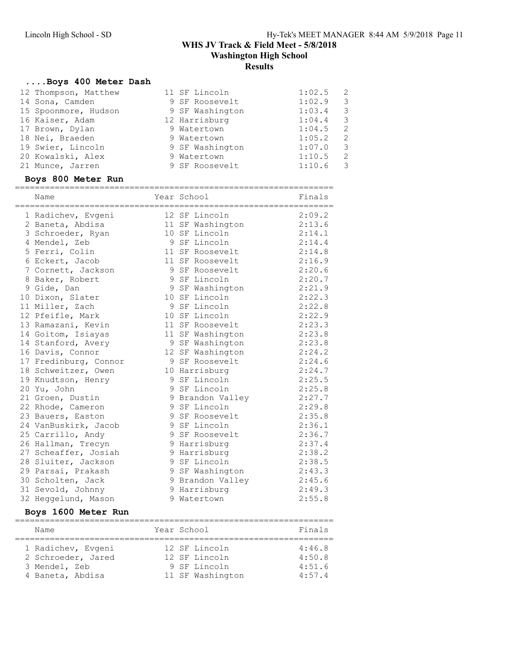#### ....Boys 400 Meter Dash

| 12 Thompson, Matthew | 11 SF Lincoln   | 1:02.5<br>2 |
|----------------------|-----------------|-------------|
| 14 Sona, Camden      | 9 SF Roosevelt  | 1:02.9<br>3 |
| 15 Spoonmore, Hudson | 9 SF Washington | 1:03.4<br>3 |
| 16 Kaiser, Adam      | 12 Harrisburg   | 1:04.4<br>3 |
| 17 Brown, Dylan      | 9 Watertown     | 1:04.5<br>2 |
| 18 Nei, Braeden      | 9 Watertown     | 1:05.2<br>2 |
| 19 Swier, Lincoln    | 9 SF Washington | 1:07.0<br>3 |
| 20 Kowalski, Alex    | 9 Watertown     | 1:10.5<br>2 |
| 21 Munce, Jarren     | 9 SF Roosevelt  | 1:10.6<br>3 |

#### Boys 800 Meter Run

| Name                  | Year School<br>and Finals |        |
|-----------------------|---------------------------|--------|
|                       |                           |        |
| 1 Radichev, Evgeni    | 12 SF Lincoln             | 2:09.2 |
| 2 Baneta, Abdisa      | 11 SF Washington          | 2:13.6 |
| 3 Schroeder, Ryan     | 10 SF Lincoln             | 2:14.1 |
| 4 Mendel, Zeb         | 9 SF Lincoln              | 2:14.4 |
| 5 Ferri, Colin        | 11 SF Roosevelt           | 2:14.8 |
| 6 Eckert, Jacob       | 11 SF Roosevelt           | 2:16.9 |
| 7 Cornett, Jackson    | 9 SF Roosevelt            | 2:20.6 |
| 8 Baker, Robert       | 9 SF Lincoln              | 2:20.7 |
| 9 Gide, Dan           | 9 SF Washington           | 2:21.9 |
| 10 Dixon, Slater      | 10 SF Lincoln             | 2:22.3 |
| 11 Miller, Zach       | 9 SF Lincoln              | 2:22.8 |
| 12 Pfeifle, Mark      | 10 SF Lincoln             | 2:22.9 |
| 13 Ramazani, Kevin    | 11 SF Roosevelt           | 2:23.3 |
| 14 Goitom, Isiayas    | 11 SF Washington          | 2:23.8 |
| 14 Stanford, Avery    | 9 SF Washington           | 2:23.8 |
| 16 Davis, Connor      | 12 SF Washington          | 2:24.2 |
| 17 Fredinburg, Connor | 9 SF Roosevelt            | 2:24.6 |
| 18 Schweitzer, Owen   | 10 Harrisburg             | 2:24.7 |
| 19 Knudtson, Henry    | 9 SF Lincoln              | 2:25.5 |
| 20 Yu, John           | 9 SF Lincoln              | 2:25.8 |
| 21 Groen, Dustin      | 9 Brandon Valley          | 2:27.7 |
| 22 Rhode, Cameron     | 9 SF Lincoln              | 2:29.8 |
| 23 Bauers, Easton     | 9 SF Roosevelt            | 2:35.8 |
| 24 VanBuskirk, Jacob  | 9 SF Lincoln              | 2:36.1 |
| 25 Carrillo, Andy     | 9 SF Roosevelt            | 2:36.7 |
| 26 Hallman, Trecyn    | 9 Harrisburg              | 2:37.4 |
| 27 Scheaffer, Josiah  | 9 Harrisburg              | 2:38.2 |
| 28 Sluiter, Jackson   | 9 SF Lincoln              | 2:38.5 |
| 29 Parsai, Prakash    | 9 SF Washington           | 2:43.3 |
| 30 Scholten, Jack     | 9 Brandon Valley          | 2:45.6 |
| 31 Sevold, Johnny     | 9 Harrisburg              | 2:49.3 |
| 32 Heggelund, Mason   | 9 Watertown               | 2:55.8 |
| Boys 1600 Meter Run   |                           |        |

#### ================================================================ Name Year School Finals ================================================================ 1 Radichev, Evgeni 12 SF Lincoln 4:46.8 2 Schroeder, Jared 12 SF Lincoln 4:50.8 3 Mendel, Zeb 9 SF Lincoln 4:51.6 4 Baneta, Abdisa 11 SF Washington 4:57.4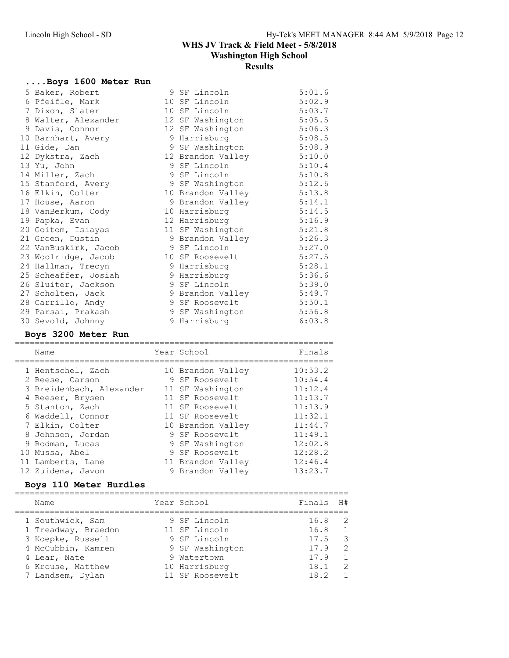# ....Boys 1600 Meter Run

| 5 Baker, Robert      | 9 SF Lincoln      | 5:01.6 |
|----------------------|-------------------|--------|
| 6 Pfeifle, Mark      | 10 SF Lincoln     | 5:02.9 |
| 7 Dixon, Slater      | 10 SF Lincoln     | 5:03.7 |
| 8 Walter, Alexander  | 12 SF Washington  | 5:05.5 |
| 9 Davis, Connor      | 12 SF Washington  | 5:06.3 |
| 10 Barnhart, Avery   | 9 Harrisburg      | 5:08.5 |
| 11 Gide, Dan         | 9 SF Washington   | 5:08.9 |
| 12 Dykstra, Zach     | 12 Brandon Valley | 5:10.0 |
| 13 Yu, John          | 9 SF Lincoln      | 5:10.4 |
| 14 Miller, Zach      | 9 SF Lincoln      | 5:10.8 |
| 15 Stanford, Avery   | 9 SF Washington   | 5:12.6 |
| 16 Elkin, Colter     | 10 Brandon Valley | 5:13.8 |
| 17 House, Aaron      | 9 Brandon Valley  | 5:14.1 |
| 18 VanBerkum, Cody   | 10 Harrisburg     | 5:14.5 |
| 19 Papka, Evan       | 12 Harrisburg     | 5:16.9 |
| 20 Goitom, Isiayas   | 11 SF Washington  | 5:21.8 |
| 21 Groen, Dustin     | 9 Brandon Valley  | 5:26.3 |
| 22 VanBuskirk, Jacob | 9 SF Lincoln      | 5:27.0 |
| 23 Woolridge, Jacob  | 10 SF Roosevelt   | 5:27.5 |
| 24 Hallman, Trecyn   | 9 Harrisburg      | 5:28.1 |
| 25 Scheaffer, Josiah | 9 Harrisburg      | 5:36.6 |
| 26 Sluiter, Jackson  | 9 SF Lincoln      | 5:39.0 |
| 27 Scholten, Jack    | 9 Brandon Valley  | 5:49.7 |
| 28 Carrillo, Andy    | 9 SF Roosevelt    | 5:50.1 |
| 29 Parsai, Prakash   | 9 SF Washington   | 5:56.8 |
| 30 Sevold, Johnny    | 9 Harrisburg      | 6:03.8 |

### Boys 3200 Meter Run

| Name                     | Year School       | Finals  |
|--------------------------|-------------------|---------|
| 1 Hentschel, Zach        | 10 Brandon Valley | 10:53.2 |
| 2 Reese, Carson          | 9 SF Roosevelt    | 10:54.4 |
| 3 Breidenbach, Alexander | 11 SF Washington  | 11:12.4 |
| 4 Reeser, Brysen         | 11 SF Roosevelt   | 11:13.7 |
| 5 Stanton, Zach          | 11 SF Roosevelt   | 11:13.9 |
| 6 Waddell, Connor        | 11 SF Roosevelt   | 11:32.1 |
| 7 Elkin, Colter          | 10 Brandon Valley | 11:44.7 |
| 8 Johnson, Jordan        | 9 SF Roosevelt    | 11:49.1 |
| 9 Rodman, Lucas          | 9 SF Washington   | 12:02.8 |
| 10 Mussa, Abel           | 9 SF Roosevelt    | 12:28.2 |
| 11 Lamberts, Lane        | 11 Brandon Valley | 12:46.4 |
| 12 Zuidema, Javon        | 9 Brandon Valley  | 13:23.7 |

## Boys 110 Meter Hurdles

| Name                | Year School     | Finals H# |                |
|---------------------|-----------------|-----------|----------------|
| 1 Southwick, Sam    | 9 SF Lincoln    | 16.8      | - 2            |
| 1 Treadway, Braedon | 11 SF Lincoln   | 16.8      | $\overline{1}$ |
| 3 Koepke, Russell   | 9 SF Lincoln    | 17.5      | $\mathcal{R}$  |
| 4 McCubbin, Kamren  | 9 SF Washington | 17.9      | 2              |
| 4 Lear, Nate        | 9 Watertown     | 17.9      | $\overline{1}$ |
| 6 Krouse, Matthew   | 10 Harrisburg   | 18.1      | 2              |
| 7 Landsem, Dylan    | 11 SF Roosevelt | 18.2      | $\overline{1}$ |
|                     |                 |           |                |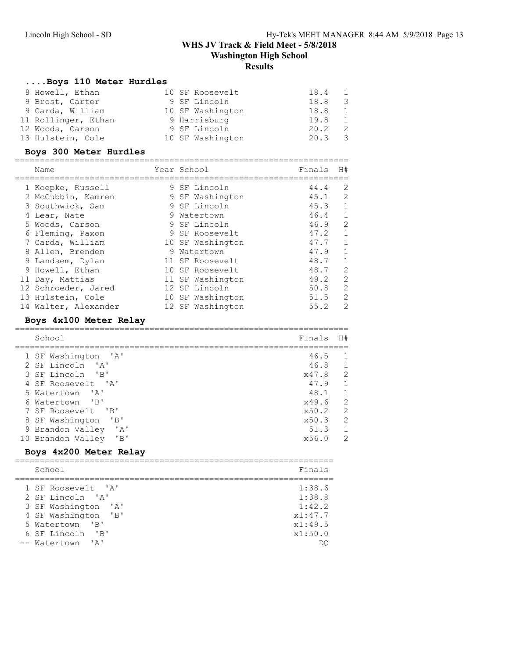### ....Boys 110 Meter Hurdles

| 8 Howell, Ethan     | 10 SF Roosevelt  | 18.4<br>1                       |
|---------------------|------------------|---------------------------------|
| 9 Brost, Carter     | 9 SF Lincoln     | 18.8<br>- 3                     |
| 9 Carda, William    | 10 SF Washington | 18.8<br>1                       |
| 11 Rollinger, Ethan | 9 Harrisburg     | 19.8<br>$\overline{1}$          |
| 12 Woods, Carson    | 9 SF Lincoln     | 20.2<br>- 2                     |
| 13 Hulstein, Cole   | 10 SF Washington | 20.3<br>$\overline{\mathbf{3}}$ |

# Boys 300 Meter Hurdles

| Name                 |   | Year School      | Finals | H#           |
|----------------------|---|------------------|--------|--------------|
| 1 Koepke, Russell    |   | 9 SF Lincoln     | 44.4   | 2            |
| 2 McCubbin, Kamren   |   | 9 SF Washington  | 45.1   | 2            |
| 3 Southwick, Sam     |   | 9 SF Lincoln     | 45.3   | 1            |
| 4 Lear, Nate         |   | 9 Watertown      | 46.4   | $\mathbf{1}$ |
| 5 Woods, Carson      |   | 9 SF Lincoln     | 46.9   | 2            |
| 6 Fleming, Paxon     |   | 9 SF Roosevelt   | 47.2   | $\mathbf{1}$ |
| 7 Carda, William     |   | 10 SF Washington | 47.7   | $\mathbf{1}$ |
| 8 Allen, Brenden     | 9 | Watertown        | 47.9   | 1            |
| 9 Landsem, Dylan     |   | 11 SF Roosevelt  | 48.7   | $\mathbf{1}$ |
| 9 Howell, Ethan      |   | 10 SF Roosevelt  | 48.7   | 2            |
| 11 Day, Mattias      |   | 11 SF Washington | 49.2   | 2            |
| 12 Schroeder, Jared  |   | 12 SF Lincoln    | 50.8   | 2            |
| 13 Hulstein, Cole    |   | 10 SF Washington | 51.5   | 2            |
| 14 Walter, Alexander |   | 12 SF Washington | 55.2   | 2            |

### Boys 4x100 Meter Relay

| School                                        | Finals | H#            |
|-----------------------------------------------|--------|---------------|
| 1 SF Washington 'A'                           | 46.5   |               |
| 2 SF Lincoln 'A'                              | 46.8   |               |
| 3 SF Lincoln 'B'                              | x47.8  | $\mathcal{L}$ |
| 4 SF Roosevelt 'A'                            | 47.9   |               |
| 5 Watertown 'A'                               | 48.1   | 1             |
| 6 Watertown 'B'                               | x49.6  | 2             |
| 7 SF Roosevelt 'B'                            | x50.2  | $\mathcal{L}$ |
| $\mathsf{B}$<br>8 SF Washington               | x50.3  | $\mathcal{L}$ |
| $^{\prime}$ A $^{\prime}$<br>9 Brandon Valley | 51.3   |               |
| "B"<br>10 Brandon Valley                      | x56.0  | $\mathcal{L}$ |

### Boys 4x200 Meter Relay

| School                | Finals  |
|-----------------------|---------|
|                       |         |
| 1 SF Roosevelt. 'A'   | 1:38.6  |
| 2 SF Lincoln 'A'      | 1:38.8  |
| 3 SF Washington 'A'   | 1:42.2  |
| 4 SF Washington 'B'   | x1:47.7 |
| 5 Watertown 'B'       | x1:49.5 |
| 6 SF Lincoln<br>$'$ B | x1:50.0 |
| -- Watertown 'A'      |         |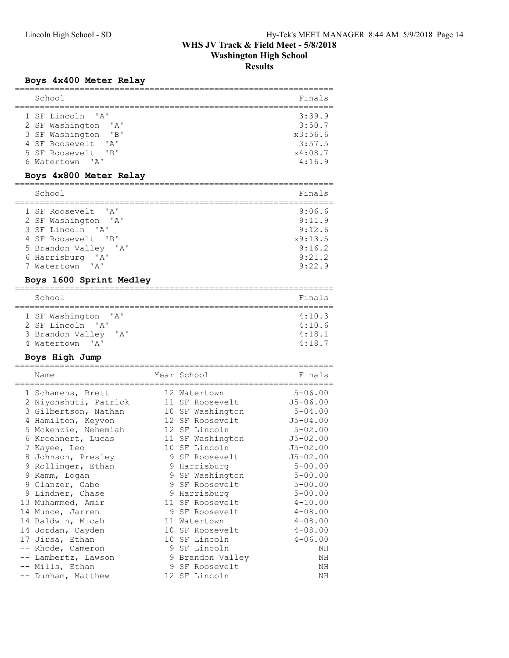# Boys 4x400 Meter Relay

| ;===========================                                                                                                                                                                                                                                                              |                                                                                                                                                                                                                     |                                                                                                                                                                                       |
|-------------------------------------------------------------------------------------------------------------------------------------------------------------------------------------------------------------------------------------------------------------------------------------------|---------------------------------------------------------------------------------------------------------------------------------------------------------------------------------------------------------------------|---------------------------------------------------------------------------------------------------------------------------------------------------------------------------------------|
| School                                                                                                                                                                                                                                                                                    |                                                                                                                                                                                                                     | Finals                                                                                                                                                                                |
| $^{\prime}$ A $^{\prime}$<br>1 SF Lincoln<br>2 SF Washington<br>$^{\prime}$ A $^{\prime}$<br>3 SF Washington<br>"B"<br>4 SF Roosevelt<br>' A'<br>5 SF Roosevelt<br>$\overline{\phantom{a}}$ $\overline{\phantom{a}}$ $\overline{\phantom{a}}$<br>6 Watertown<br>$^{\prime}$ A $^{\prime}$ |                                                                                                                                                                                                                     | 3:39.9<br>3:50.7<br>x3:56.6<br>3:57.5<br>x4:08.7<br>4:16.9                                                                                                                            |
| Boys 4x800 Meter Relay                                                                                                                                                                                                                                                                    |                                                                                                                                                                                                                     |                                                                                                                                                                                       |
| School                                                                                                                                                                                                                                                                                    |                                                                                                                                                                                                                     | Finals                                                                                                                                                                                |
| 1 SF Roosevelt<br>' A'<br>2 SF Washington 'A'<br>3 SF Lincoln 'A'<br>4 SF Roosevelt<br>$\mathsf{B}$<br>5 Brandon Valley 'A'<br>6 Harrisburg 'A'<br>7 Watertown<br>' A'                                                                                                                    |                                                                                                                                                                                                                     | 9:06.6<br>9:11.9<br>9:12.6<br>x9:13.5<br>9:16.2<br>9:21.2<br>9:22.9                                                                                                                   |
| Boys 1600 Sprint Medley                                                                                                                                                                                                                                                                   |                                                                                                                                                                                                                     |                                                                                                                                                                                       |
| School                                                                                                                                                                                                                                                                                    |                                                                                                                                                                                                                     | Finals                                                                                                                                                                                |
| =============<br>$^{\prime}$ A $^{\prime}$<br>1 SF Washington<br>2 SF Lincoln 'A'<br>3 Brandon Valley<br>' A'<br>4 Watertown<br>$\mathsf{A}$                                                                                                                                              |                                                                                                                                                                                                                     | 4:10.3<br>4:10.6<br>4:18.1<br>4:18.7                                                                                                                                                  |
| Boys High Jump                                                                                                                                                                                                                                                                            |                                                                                                                                                                                                                     |                                                                                                                                                                                       |
| Name                                                                                                                                                                                                                                                                                      | Year School                                                                                                                                                                                                         | Finals                                                                                                                                                                                |
| 1 Schamens, Brett<br>2 Niyonshuti, Patrick<br>3 Gilbertson, Nathan<br>4 Hamilton, Keyvon<br>5 Mckenzie, Nehemiah<br>6 Kroehnert, Lucas<br>7 Kayee, Leo<br>8 Johnson, Presley<br>9 Rollinger, Ethan<br>9 Ramm, Logan<br>9 Glanzer, Gabe<br>9 Lindner, Chase                                | 12 Watertown<br>11 SF Roosevelt<br>10 SF Washington<br>12 SF Roosevelt<br>12 SF Lincoln<br>11 SF Washington<br>10 SF Lincoln<br>9 SF Roosevelt<br>9 Harrisburg<br>9 SF Washington<br>9 SF Roosevelt<br>9 Harrisburg | $5 - 06.00$<br>$J5 - 06.00$<br>$5 - 04.00$<br>$J5 - 04.00$<br>$5 - 02.00$<br>$J5 - 02.00$<br>$J5 - 02.00$<br>$J5 - 02.00$<br>$5 - 00.00$<br>$5 - 00.00$<br>$5 - 00.00$<br>$5 - 00.00$ |
| 13 Muhammed, Amir<br>14 Munce, Jarren<br>14 Baldwin, Micah<br>14 Jordan, Cayden<br>17 Jirsa, Ethan<br>-- Rhode, Cameron                                                                                                                                                                   | 11 SF Roosevelt<br>9 SF Roosevelt<br>11 Watertown<br>10 SF Roosevelt<br>10 SF Lincoln<br>9 SF Lincoln                                                                                                               | $4 - 10.00$<br>$4 - 08.00$<br>$4 - 08.00$<br>$4 - 08.00$<br>$4 - 06.00$<br>ΝH                                                                                                         |
| -- Lambertz, Lawson<br>-- Mills, Ethan<br>-- Dunham, Matthew                                                                                                                                                                                                                              | 9 Brandon Valley<br>9 SF Roosevelt<br>12 SF Lincoln                                                                                                                                                                 | ΝH<br>ΝH<br>ΝH                                                                                                                                                                        |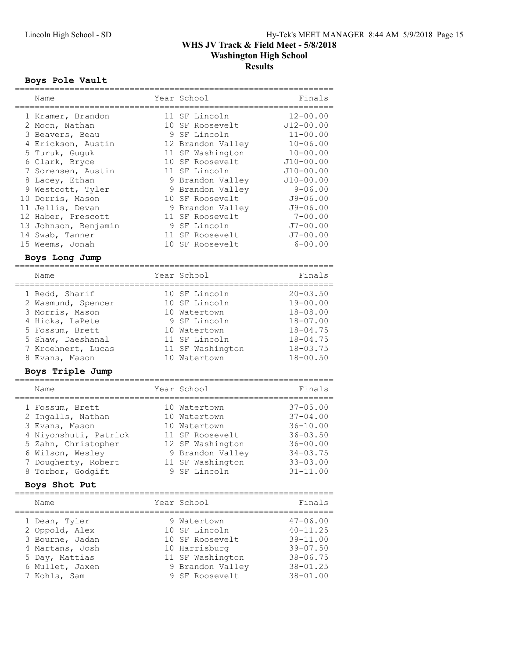#### Boys Pole Vault

| Name                           | Year School           | Finals        |
|--------------------------------|-----------------------|---------------|
|                                |                       |               |
| 1 Kramer, Brandon              | 11 SF Lincoln         | $12 - 00.00$  |
| 2 Moon, Nathan                 | 10 SF Roosevelt       | $J12 - 00.00$ |
| 3 Beavers, Beau                | 9 SF Lincoln          | $11 - 00.00$  |
| 4 Erickson, Austin             | 12 Brandon Valley     | $10 - 06.00$  |
| 5 Turuk, Guguk                 | 11 SF Washington      | $10 - 00.00$  |
| 6 Clark, Bryce                 | 10 SF Roosevelt       | $J10 - 00.00$ |
| 7 Sorensen, Austin             | 11 SF Lincoln         | $J10 - 00.00$ |
| 8 Lacey, Ethan                 | 9 Brandon Valley      | $J10 - 00.00$ |
|                                |                       | $9 - 06.00$   |
| 9 Westcott, Tyler              | 9 Brandon Valley      |               |
| 10 Dorris, Mason               | 10 SF Roosevelt       | $J9 - 06.00$  |
| 11 Jellis, Devan               | 9 Brandon Valley      | $J9 - 06.00$  |
| 12 Haber, Prescott             | 11 SF Roosevelt       | $7 - 00.00$   |
| 13 Johnson, Benjamin           | 9 SF Lincoln          | $J7 - 00.00$  |
| 14 Swab, Tanner                | 11 SF Roosevelt       | $J7 - 00.00$  |
| 15 Weems, Jonah                | 10 SF Roosevelt       | $6 - 00.00$   |
| Boys Long Jump                 |                       |               |
|                                |                       |               |
| Name                           | Year School           | Finals        |
|                                |                       |               |
| 1 Redd, Sharif                 | 10 SF Lincoln         | $20 - 03.50$  |
| 2 Wasmund, Spencer             | 10 SF Lincoln         | $19 - 00.00$  |
| 3 Morris, Mason                | 10 Watertown          | $18 - 08.00$  |
| 4 Hicks, LaPete                | 9 SF Lincoln          | $18 - 07.00$  |
| 5 Fossum, Brett                | 10 Watertown          | $18 - 04.75$  |
| 5 Shaw, Daeshanal              | 11 SF Lincoln         | $18 - 04.75$  |
| 7 Kroehnert, Lucas             | 11 SF Washington      | $18 - 03.75$  |
| 8 Evans, Mason                 | 10 Watertown          | $18 - 00.50$  |
| Boys Triple Jump               |                       |               |
| =======                        |                       |               |
| Name                           | Year School           | Finals        |
| 1 Fossum, Brett                | 10 Watertown          | $37 - 05.00$  |
| 2 Ingalls, Nathan              | 10 Watertown          | $37 - 04.00$  |
| 3 Evans, Mason                 | 10 Watertown          | $36 - 10.00$  |
| 4 Niyonshuti, Patrick          | 11 SF Roosevelt       | $36 - 03.50$  |
| 5 Zahn, Christopher            | 12 SF Washington      | $36 - 00.00$  |
| 6 Wilson, Wesley               | 9 Brandon Valley      | $34 - 03.75$  |
|                                |                       |               |
| 7 Dougherty, Robert            | 11 SF Washington      | $33 - 03.00$  |
| 8 Torbor, Godgift              | 9 SF Lincoln          | $31 - 11.00$  |
| Boys Shot Put                  |                       |               |
| Name                           | Year School           | Finals        |
| ------------------------------ | ;==================== |               |
| 1 Dean, Tyler                  | 9 Watertown           | $47 - 06.00$  |
| 2 Oppold, Alex                 | 10 SF Lincoln         | $40 - 11.25$  |
| 3 Bourne, Jadan                | 10 SF Roosevelt       | $39 - 11.00$  |
| 4 Martans, Josh                | 10 Harrisburg         | $39 - 07.50$  |
|                                |                       | $38 - 06.75$  |
| 5 Day, Mattias                 | 11 SF Washington      |               |
| 6 Mullet, Jaxen                | 9 Brandon Valley      | $38 - 01.25$  |
| 7 Kohls, Sam                   | 9 SF Roosevelt        | $38 - 01.00$  |